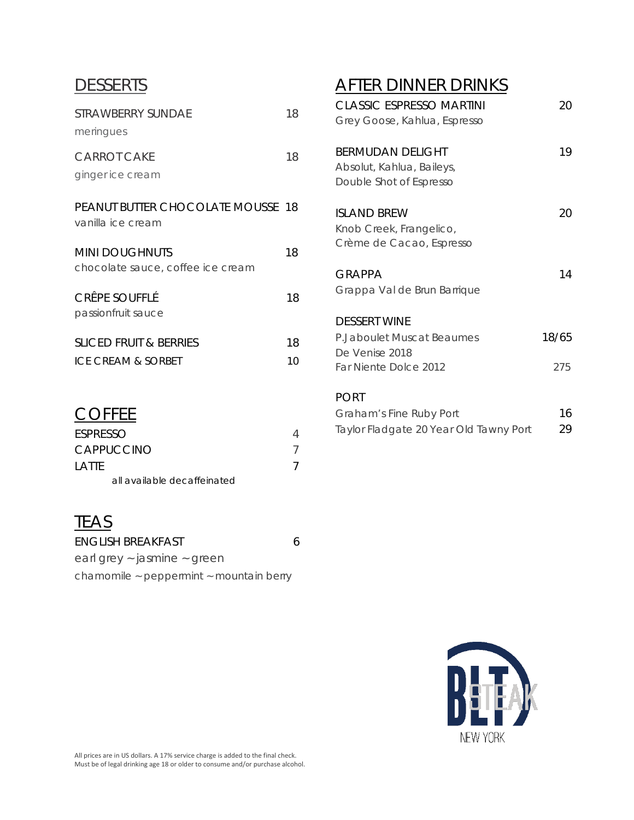## **DESSERTS**

| STRAWBERRY SUNDAF<br>meringues                                | 18       |
|---------------------------------------------------------------|----------|
| <b>CARROT CAKE</b><br>ginger ice cream                        | 18       |
| <b>PEANUT BUTTER CHOCOLATE MOUSSE 18</b><br>vanilla ice cream |          |
| <b>MINI DOUGHNUTS</b><br>chocolate sauce, coffee ice cream    | 18       |
| CRÊPE SOUFFLÉ<br>passionfruit sauce                           | 18       |
| SLICED FRUIT & BERRIES<br>ICE CREAM & SORBET                  | 18<br>10 |

## **COFFEE**

| ESPRESSO                    |  |
|-----------------------------|--|
| CAPPUCCINO                  |  |
| I ATTF                      |  |
| all available decaffeinated |  |

## **TEAS**

| <b>ENGLISH BREAKFAST</b>                          | 6 |
|---------------------------------------------------|---|
| earl grey ~ jasmine ~ green                       |   |
| chamomile $\sim$ peppermint $\sim$ mountain berry |   |

# AFTER DINNER DRINKS

| <b>CLASSIC ESPRESSO MARTINI</b>        | 20    |
|----------------------------------------|-------|
| Grey Goose, Kahlua, Espresso           |       |
| <b>BERMUDAN DELIGHT</b>                | 19    |
| Absolut, Kahlua, Baileys,              |       |
| Double Shot of Espresso                |       |
| ISI AND BREW                           | 20    |
| Knob Creek, Frangelico,                |       |
| Crème de Cacao, Espresso               |       |
| GRAPPA                                 | 14    |
| Grappa Val de Brun Barrique            |       |
| <b>DESSERT WINE</b>                    |       |
| P.Jaboulet Muscat Beaumes              | 18/65 |
| De Venise 2018                         |       |
| Far Niente Dolce 2012                  | 275   |
| <b>PORT</b>                            |       |
| Graham's Fine Ruby Port                | 16    |
| Taylor Fladgate 20 Year Old Tawny Port | 29    |